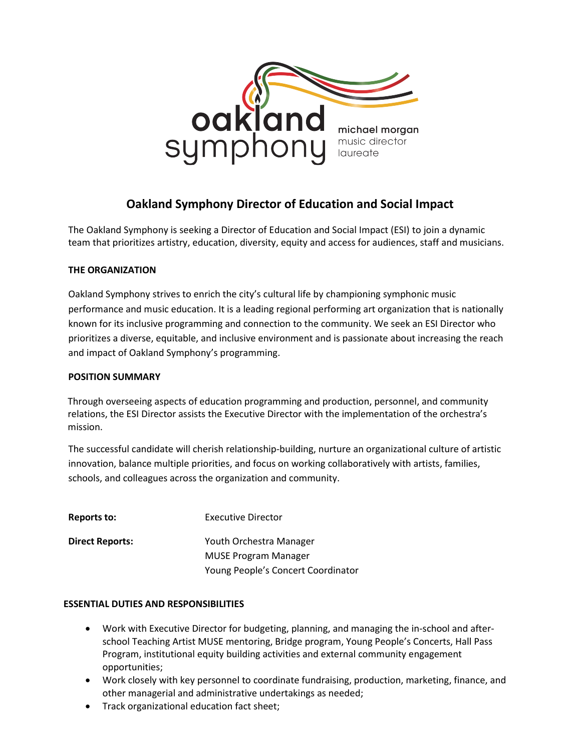

# Oakland Symphony Director of Education and Social Impact

The Oakland Symphony is seeking a Director of Education and Social Impact (ESI) to join a dynamic team that prioritizes artistry, education, diversity, equity and access for audiences, staff and musicians.

## THE ORGANIZATION

Oakland Symphony strives to enrich the city's cultural life by championing symphonic music performance and music education. It is a leading regional performing art organization that is nationally known for its inclusive programming and connection to the community. We seek an ESI Director who prioritizes a diverse, equitable, and inclusive environment and is passionate about increasing the reach and impact of Oakland Symphony's programming.

## POSITION SUMMARY

Through overseeing aspects of education programming and production, personnel, and community relations, the ESI Director assists the Executive Director with the implementation of the orchestra's mission.

The successful candidate will cherish relationship-building, nurture an organizational culture of artistic innovation, balance multiple priorities, and focus on working collaboratively with artists, families, schools, and colleagues across the organization and community.

| Reports to:            | <b>Executive Director</b>          |
|------------------------|------------------------------------|
| <b>Direct Reports:</b> | Youth Orchestra Manager            |
|                        | <b>MUSE Program Manager</b>        |
|                        | Young People's Concert Coordinator |

## ESSENTIAL DUTIES AND RESPONSIBILITIES

- Work with Executive Director for budgeting, planning, and managing the in-school and afterschool Teaching Artist MUSE mentoring, Bridge program, Young People's Concerts, Hall Pass Program, institutional equity building activities and external community engagement opportunities;
- Work closely with key personnel to coordinate fundraising, production, marketing, finance, and other managerial and administrative undertakings as needed;
- Track organizational education fact sheet;